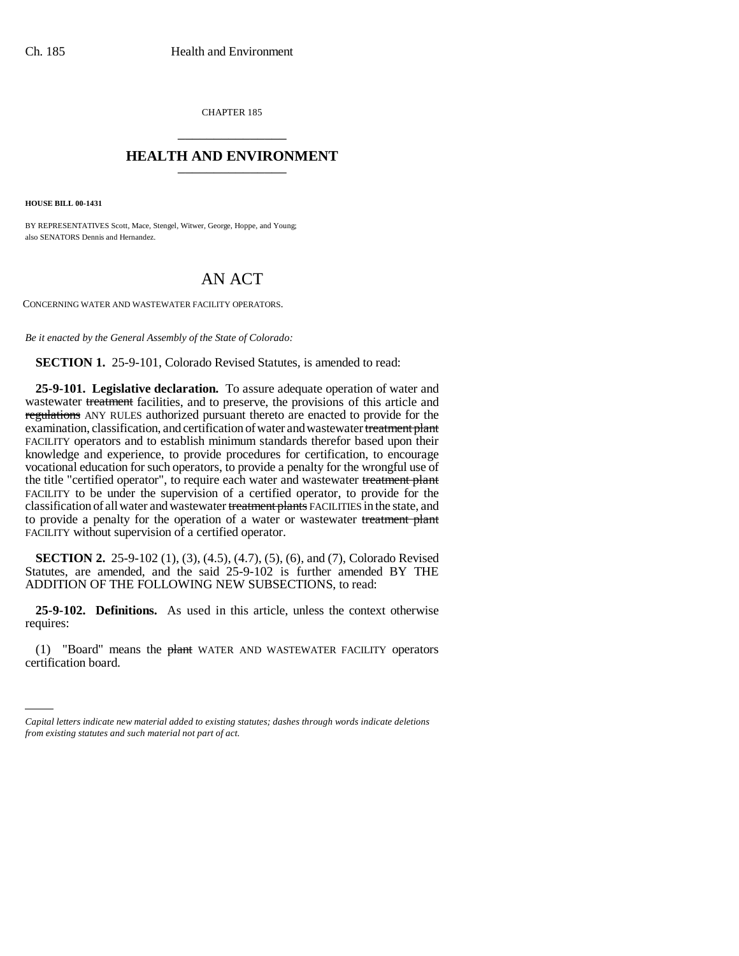CHAPTER 185 \_\_\_\_\_\_\_\_\_\_\_\_\_\_\_

## **HEALTH AND ENVIRONMENT** \_\_\_\_\_\_\_\_\_\_\_\_\_\_\_

**HOUSE BILL 00-1431** 

BY REPRESENTATIVES Scott, Mace, Stengel, Witwer, George, Hoppe, and Young; also SENATORS Dennis and Hernandez.

# AN ACT

CONCERNING WATER AND WASTEWATER FACILITY OPERATORS.

*Be it enacted by the General Assembly of the State of Colorado:*

**SECTION 1.** 25-9-101, Colorado Revised Statutes, is amended to read:

**25-9-101. Legislative declaration.** To assure adequate operation of water and wastewater treatment facilities, and to preserve, the provisions of this article and regulations ANY RULES authorized pursuant thereto are enacted to provide for the examination, classification, and certification of water and wastewater treatment plant FACILITY operators and to establish minimum standards therefor based upon their knowledge and experience, to provide procedures for certification, to encourage vocational education for such operators, to provide a penalty for the wrongful use of the title "certified operator", to require each water and wastewater treatment plant FACILITY to be under the supervision of a certified operator, to provide for the classification of all water and wastewater treatment plants FACILITIES in the state, and to provide a penalty for the operation of a water or wastewater treatment plant FACILITY without supervision of a certified operator.

**SECTION 2.** 25-9-102 (1), (3), (4.5), (4.7), (5), (6), and (7), Colorado Revised Statutes, are amended, and the said 25-9-102 is further amended BY THE ADDITION OF THE FOLLOWING NEW SUBSECTIONS, to read:

**25-9-102. Definitions.** As used in this article, unless the context otherwise requires:

 $(1)$  "Board" means the plant WATER AND WASTEWATER FACILITY operators certification board.

*Capital letters indicate new material added to existing statutes; dashes through words indicate deletions from existing statutes and such material not part of act.*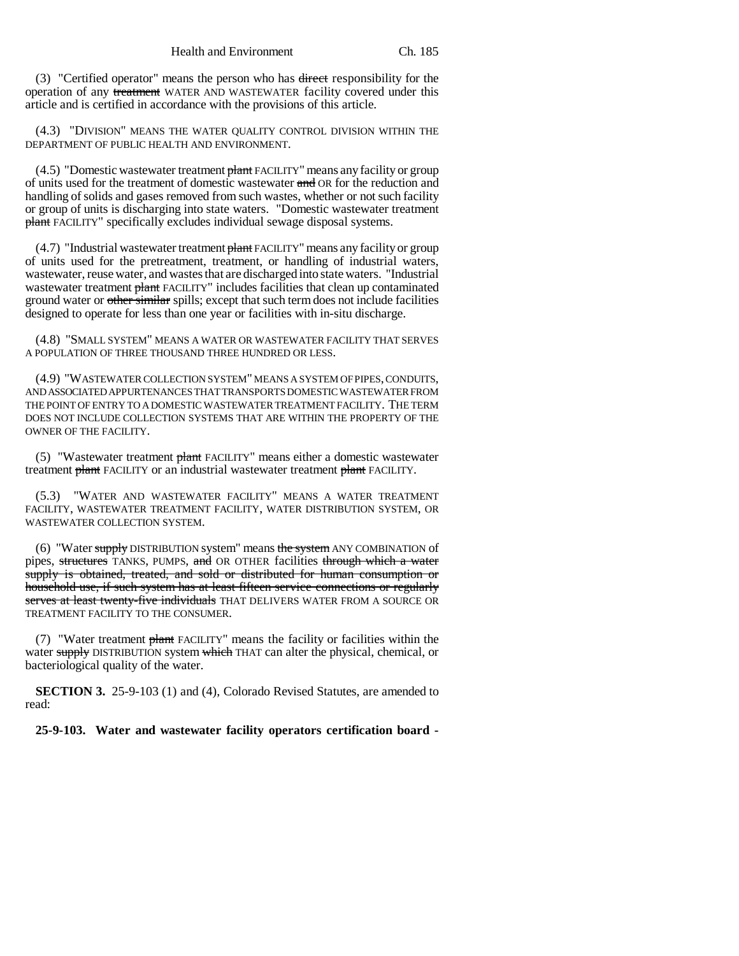(3) "Certified operator" means the person who has direct responsibility for the operation of any treatment WATER AND WASTEWATER facility covered under this article and is certified in accordance with the provisions of this article.

(4.3) "DIVISION" MEANS THE WATER QUALITY CONTROL DIVISION WITHIN THE DEPARTMENT OF PUBLIC HEALTH AND ENVIRONMENT.

 $(4.5)$  "Domestic wastewater treatment  $\frac{1}{2}$  FACILITY" means any facility or group of units used for the treatment of domestic wastewater and OR for the reduction and handling of solids and gases removed from such wastes, whether or not such facility or group of units is discharging into state waters. "Domestic wastewater treatment plant FACILITY" specifically excludes individual sewage disposal systems.

 $(4.7)$  "Industrial wastewater treatment plant FACILITY" means any facility or group of units used for the pretreatment, treatment, or handling of industrial waters, wastewater, reuse water, and wastes that are discharged into state waters. "Industrial wastewater treatment plant FACILITY" includes facilities that clean up contaminated ground water or other similar spills; except that such term does not include facilities designed to operate for less than one year or facilities with in-situ discharge.

(4.8) "SMALL SYSTEM" MEANS A WATER OR WASTEWATER FACILITY THAT SERVES A POPULATION OF THREE THOUSAND THREE HUNDRED OR LESS.

(4.9) "WASTEWATER COLLECTION SYSTEM" MEANS A SYSTEM OF PIPES, CONDUITS, AND ASSOCIATED APPURTENANCES THAT TRANSPORTS DOMESTIC WASTEWATER FROM THE POINT OF ENTRY TO A DOMESTIC WASTEWATER TREATMENT FACILITY. THE TERM DOES NOT INCLUDE COLLECTION SYSTEMS THAT ARE WITHIN THE PROPERTY OF THE OWNER OF THE FACILITY.

(5) "Wastewater treatment plant FACILITY" means either a domestic wastewater treatment plant FACILITY or an industrial wastewater treatment plant FACILITY.

(5.3) "WATER AND WASTEWATER FACILITY" MEANS A WATER TREATMENT FACILITY, WASTEWATER TREATMENT FACILITY, WATER DISTRIBUTION SYSTEM, OR WASTEWATER COLLECTION SYSTEM.

(6) "Water supply DISTRIBUTION system" means the system ANY COMBINATION of pipes, structures TANKS, PUMPS, and OR OTHER facilities through which a water supply is obtained, treated, and sold or distributed for human consumption or household use, if such system has at least fifteen service connections or regularly serves at least twenty-five individuals THAT DELIVERS WATER FROM A SOURCE OR TREATMENT FACILITY TO THE CONSUMER.

(7) "Water treatment plant FACILITY" means the facility or facilities within the water supply DISTRIBUTION system which THAT can alter the physical, chemical, or bacteriological quality of the water.

**SECTION 3.** 25-9-103 (1) and (4), Colorado Revised Statutes, are amended to read:

**25-9-103. Water and wastewater facility operators certification board -**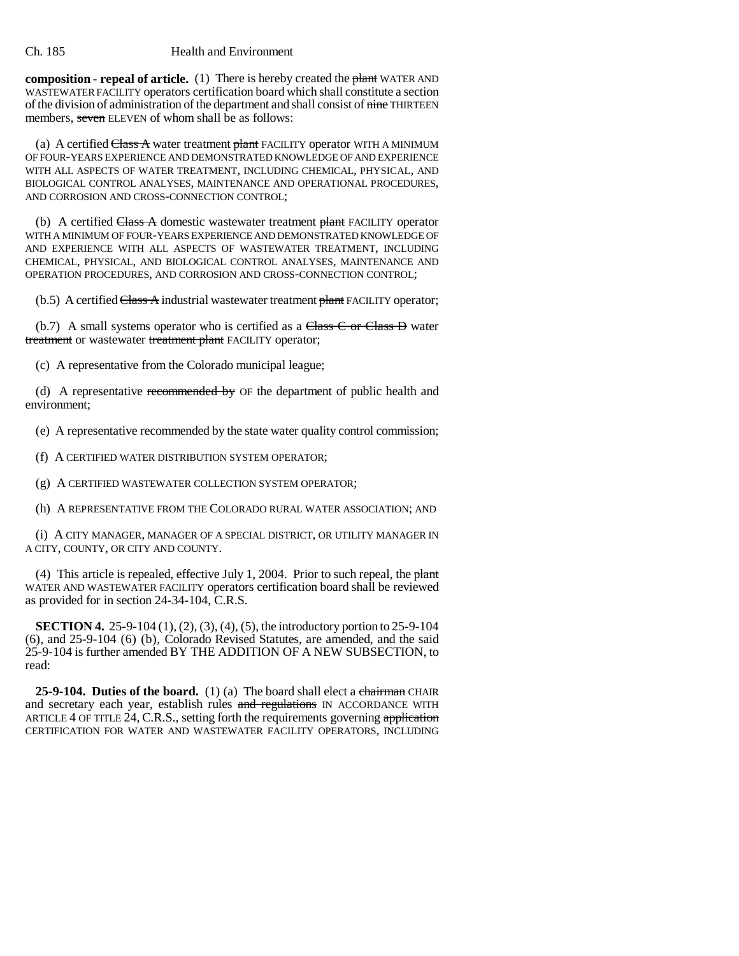**composition - repeal of article.** (1) There is hereby created the plant WATER AND WASTEWATER FACILITY operators certification board which shall constitute a section of the division of administration of the department and shall consist of nine THIRTEEN members, seven ELEVEN of whom shall be as follows:

(a) A certified  $C$ lass A water treatment plant FACILITY operator WITH A MINIMUM OF FOUR-YEARS EXPERIENCE AND DEMONSTRATED KNOWLEDGE OF AND EXPERIENCE WITH ALL ASPECTS OF WATER TREATMENT, INCLUDING CHEMICAL, PHYSICAL, AND BIOLOGICAL CONTROL ANALYSES, MAINTENANCE AND OPERATIONAL PROCEDURES, AND CORROSION AND CROSS-CONNECTION CONTROL;

(b) A certified  $Class A$  domestic wastewater treatment  $plan$  FACILITY operator WITH A MINIMUM OF FOUR-YEARS EXPERIENCE AND DEMONSTRATED KNOWLEDGE OF AND EXPERIENCE WITH ALL ASPECTS OF WASTEWATER TREATMENT, INCLUDING CHEMICAL, PHYSICAL, AND BIOLOGICAL CONTROL ANALYSES, MAINTENANCE AND OPERATION PROCEDURES, AND CORROSION AND CROSS-CONNECTION CONTROL;

 $(b.5)$  A certified Class A industrial wastewater treatment plant FACILITY operator;

 $(b.7)$  A small systems operator who is certified as a Class C or Class D water treatment or wastewater treatment plant FACILITY operator;

(c) A representative from the Colorado municipal league;

(d) A representative recommended by  $\sigma$ F the department of public health and environment;

(e) A representative recommended by the state water quality control commission;

(f) A CERTIFIED WATER DISTRIBUTION SYSTEM OPERATOR;

(g) A CERTIFIED WASTEWATER COLLECTION SYSTEM OPERATOR;

(h) A REPRESENTATIVE FROM THE COLORADO RURAL WATER ASSOCIATION; AND

(i) A CITY MANAGER, MANAGER OF A SPECIAL DISTRICT, OR UTILITY MANAGER IN A CITY, COUNTY, OR CITY AND COUNTY.

(4) This article is repealed, effective July 1, 2004. Prior to such repeal, the  $\frac{\text{plant}}{\text{plant}}$ WATER AND WASTEWATER FACILITY operators certification board shall be reviewed as provided for in section 24-34-104, C.R.S.

**SECTION 4.** 25-9-104 (1), (2), (3), (4), (5), the introductory portion to 25-9-104 (6), and 25-9-104 (6) (b), Colorado Revised Statutes, are amended, and the said 25-9-104 is further amended BY THE ADDITION OF A NEW SUBSECTION, to read:

**25-9-104. Duties of the board.** (1) (a) The board shall elect a chairman CHAIR and secretary each year, establish rules and regulations IN ACCORDANCE WITH ARTICLE 4 OF TITLE 24, C.R.S., setting forth the requirements governing application CERTIFICATION FOR WATER AND WASTEWATER FACILITY OPERATORS, INCLUDING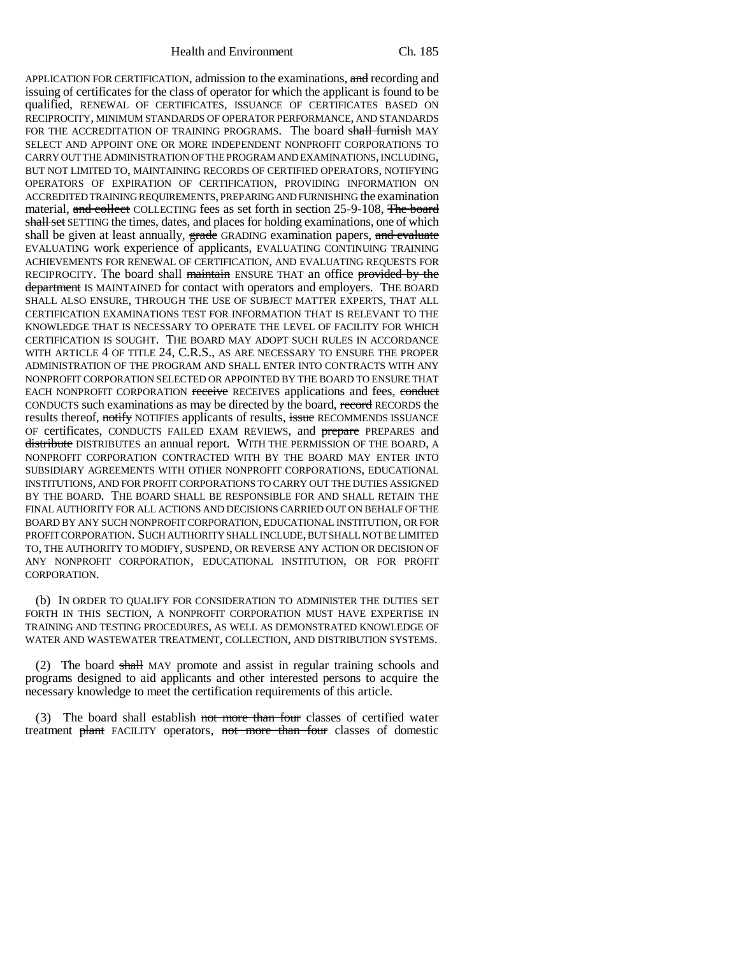APPLICATION FOR CERTIFICATION, admission to the examinations, and recording and issuing of certificates for the class of operator for which the applicant is found to be qualified, RENEWAL OF CERTIFICATES, ISSUANCE OF CERTIFICATES BASED ON RECIPROCITY, MINIMUM STANDARDS OF OPERATOR PERFORMANCE, AND STANDARDS FOR THE ACCREDITATION OF TRAINING PROGRAMS. The board shall furnish MAY SELECT AND APPOINT ONE OR MORE INDEPENDENT NONPROFIT CORPORATIONS TO CARRY OUT THE ADMINISTRATION OF THE PROGRAM AND EXAMINATIONS, INCLUDING, BUT NOT LIMITED TO, MAINTAINING RECORDS OF CERTIFIED OPERATORS, NOTIFYING OPERATORS OF EXPIRATION OF CERTIFICATION, PROVIDING INFORMATION ON ACCREDITED TRAINING REQUIREMENTS, PREPARING AND FURNISHING the examination material, and collect COLLECTING fees as set forth in section 25-9-108, The board shall set SETTING the times, dates, and places for holding examinations, one of which shall be given at least annually, grade GRADING examination papers, and evaluate EVALUATING work experience of applicants, EVALUATING CONTINUING TRAINING ACHIEVEMENTS FOR RENEWAL OF CERTIFICATION, AND EVALUATING REQUESTS FOR RECIPROCITY. The board shall maintain ENSURE THAT an office provided by the department IS MAINTAINED for contact with operators and employers. THE BOARD SHALL ALSO ENSURE, THROUGH THE USE OF SUBJECT MATTER EXPERTS, THAT ALL CERTIFICATION EXAMINATIONS TEST FOR INFORMATION THAT IS RELEVANT TO THE KNOWLEDGE THAT IS NECESSARY TO OPERATE THE LEVEL OF FACILITY FOR WHICH CERTIFICATION IS SOUGHT. THE BOARD MAY ADOPT SUCH RULES IN ACCORDANCE WITH ARTICLE 4 OF TITLE 24, C.R.S., AS ARE NECESSARY TO ENSURE THE PROPER ADMINISTRATION OF THE PROGRAM AND SHALL ENTER INTO CONTRACTS WITH ANY NONPROFIT CORPORATION SELECTED OR APPOINTED BY THE BOARD TO ENSURE THAT EACH NONPROFIT CORPORATION receive RECEIVES applications and fees, conduct CONDUCTS such examinations as may be directed by the board, record RECORDS the results thereof, notify NOTIFIES applicants of results, issue RECOMMENDS ISSUANCE OF certificates, CONDUCTS FAILED EXAM REVIEWS, and prepare PREPARES and distribute DISTRIBUTES an annual report. WITH THE PERMISSION OF THE BOARD, A NONPROFIT CORPORATION CONTRACTED WITH BY THE BOARD MAY ENTER INTO SUBSIDIARY AGREEMENTS WITH OTHER NONPROFIT CORPORATIONS, EDUCATIONAL INSTITUTIONS, AND FOR PROFIT CORPORATIONS TO CARRY OUT THE DUTIES ASSIGNED BY THE BOARD. THE BOARD SHALL BE RESPONSIBLE FOR AND SHALL RETAIN THE FINAL AUTHORITY FOR ALL ACTIONS AND DECISIONS CARRIED OUT ON BEHALF OF THE BOARD BY ANY SUCH NONPROFIT CORPORATION, EDUCATIONAL INSTITUTION, OR FOR PROFIT CORPORATION. SUCH AUTHORITY SHALL INCLUDE, BUT SHALL NOT BE LIMITED TO, THE AUTHORITY TO MODIFY, SUSPEND, OR REVERSE ANY ACTION OR DECISION OF ANY NONPROFIT CORPORATION, EDUCATIONAL INSTITUTION, OR FOR PROFIT CORPORATION.

(b) IN ORDER TO QUALIFY FOR CONSIDERATION TO ADMINISTER THE DUTIES SET FORTH IN THIS SECTION, A NONPROFIT CORPORATION MUST HAVE EXPERTISE IN TRAINING AND TESTING PROCEDURES, AS WELL AS DEMONSTRATED KNOWLEDGE OF WATER AND WASTEWATER TREATMENT, COLLECTION, AND DISTRIBUTION SYSTEMS.

(2) The board shall MAY promote and assist in regular training schools and programs designed to aid applicants and other interested persons to acquire the necessary knowledge to meet the certification requirements of this article.

(3) The board shall establish not more than four classes of certified water treatment plant FACILITY operators, not more than four classes of domestic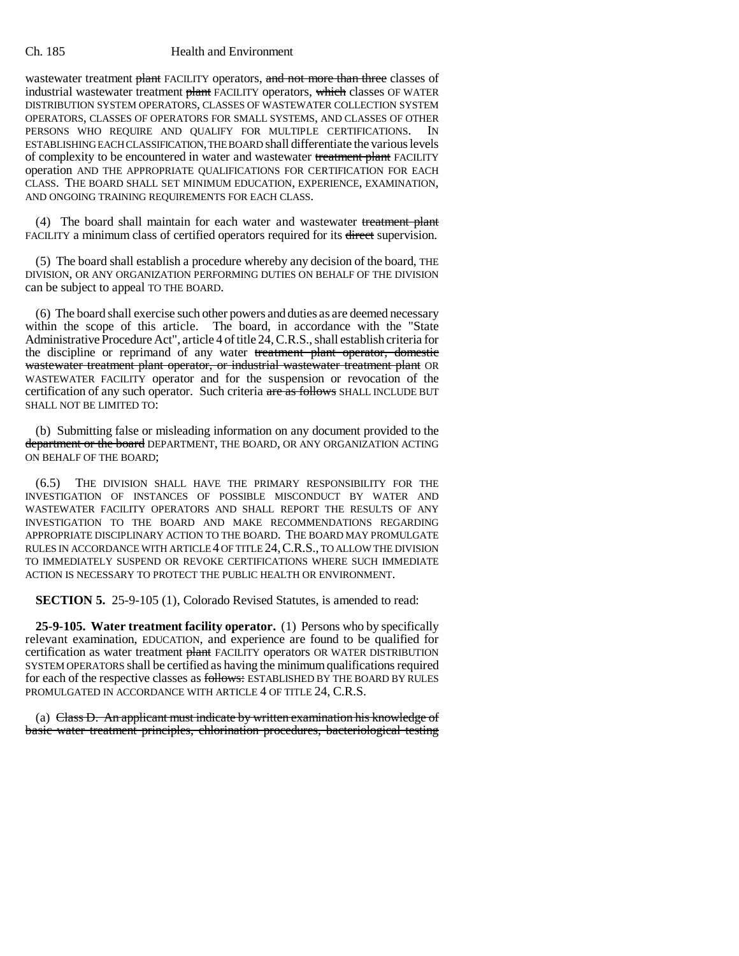wastewater treatment plant FACILITY operators, and not more than three classes of industrial wastewater treatment plant FACILITY operators, which classes OF WATER DISTRIBUTION SYSTEM OPERATORS, CLASSES OF WASTEWATER COLLECTION SYSTEM OPERATORS, CLASSES OF OPERATORS FOR SMALL SYSTEMS, AND CLASSES OF OTHER PERSONS WHO REQUIRE AND QUALIFY FOR MULTIPLE CERTIFICATIONS. ESTABLISHING EACH CLASSIFICATION, THE BOARD shall differentiate the various levels of complexity to be encountered in water and wastewater treatment plant FACILITY operation AND THE APPROPRIATE QUALIFICATIONS FOR CERTIFICATION FOR EACH CLASS. THE BOARD SHALL SET MINIMUM EDUCATION, EXPERIENCE, EXAMINATION, AND ONGOING TRAINING REQUIREMENTS FOR EACH CLASS.

(4) The board shall maintain for each water and wastewater treatment plant FACILITY a minimum class of certified operators required for its direct supervision.

(5) The board shall establish a procedure whereby any decision of the board, THE DIVISION, OR ANY ORGANIZATION PERFORMING DUTIES ON BEHALF OF THE DIVISION can be subject to appeal TO THE BOARD.

(6) The board shall exercise such other powers and duties as are deemed necessary within the scope of this article. The board, in accordance with the "State Administrative Procedure Act", article 4 of title 24, C.R.S., shall establish criteria for the discipline or reprimand of any water treatment plant operator, domestic wastewater treatment plant operator, or industrial wastewater treatment plant OR WASTEWATER FACILITY operator and for the suspension or revocation of the certification of any such operator. Such criteria are as follows SHALL INCLUDE BUT SHALL NOT BE LIMITED TO:

(b) Submitting false or misleading information on any document provided to the department or the board DEPARTMENT, THE BOARD, OR ANY ORGANIZATION ACTING ON BEHALF OF THE BOARD;

(6.5) THE DIVISION SHALL HAVE THE PRIMARY RESPONSIBILITY FOR THE INVESTIGATION OF INSTANCES OF POSSIBLE MISCONDUCT BY WATER AND WASTEWATER FACILITY OPERATORS AND SHALL REPORT THE RESULTS OF ANY INVESTIGATION TO THE BOARD AND MAKE RECOMMENDATIONS REGARDING APPROPRIATE DISCIPLINARY ACTION TO THE BOARD. THE BOARD MAY PROMULGATE RULES IN ACCORDANCE WITH ARTICLE 4 OF TITLE 24,C.R.S., TO ALLOW THE DIVISION TO IMMEDIATELY SUSPEND OR REVOKE CERTIFICATIONS WHERE SUCH IMMEDIATE ACTION IS NECESSARY TO PROTECT THE PUBLIC HEALTH OR ENVIRONMENT.

**SECTION 5.** 25-9-105 (1), Colorado Revised Statutes, is amended to read:

**25-9-105. Water treatment facility operator.** (1) Persons who by specifically relevant examination, EDUCATION, and experience are found to be qualified for certification as water treatment plant FACILITY operators OR WATER DISTRIBUTION SYSTEM OPERATORS shall be certified as having the minimum qualifications required for each of the respective classes as follows: ESTABLISHED BY THE BOARD BY RULES PROMULGATED IN ACCORDANCE WITH ARTICLE 4 OF TITLE 24, C.R.S.

(a) Class D. An applicant must indicate by written examination his knowledge of basic water treatment principles, chlorination procedures, bacteriological testing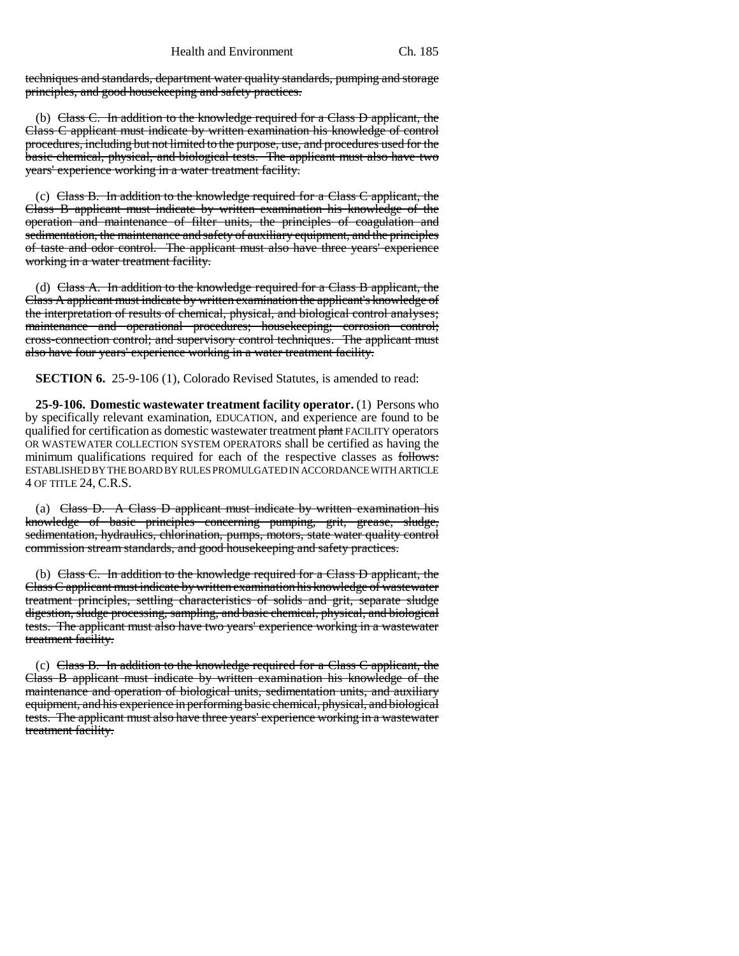techniques and standards, department water quality standards, pumping and storage principles, and good housekeeping and safety practices.

(b)  $Class C$ . In addition to the knowledge required for a Class  $D$  applicant, the Class C applicant must indicate by written examination his knowledge of control procedures, including but not limited to the purpose, use, and procedures used for the basic chemical, physical, and biological tests. The applicant must also have two years' experience working in a water treatment facility.

(c) Class B. In addition to the knowledge required for a Class C applicant, the Class B applicant must indicate by written examination his knowledge of the operation and maintenance of filter units, the principles of coagulation and sedimentation, the maintenance and safety of auxiliary equipment, and the principles of taste and odor control. The applicant must also have three years' experience working in a water treatment facility.

(d) Class A. In addition to the knowledge required for a Class B applicant, the Class A applicant must indicate by written examination the applicant's knowledge of the interpretation of results of chemical, physical, and biological control analyses; maintenance and operational procedures; housekeeping; corrosion control; cross-connection control; and supervisory control techniques. The applicant must also have four years' experience working in a water treatment facility.

**SECTION 6.** 25-9-106 (1), Colorado Revised Statutes, is amended to read:

**25-9-106. Domestic wastewater treatment facility operator.** (1) Persons who by specifically relevant examination, EDUCATION, and experience are found to be qualified for certification as domestic wastewater treatment plant FACILITY operators OR WASTEWATER COLLECTION SYSTEM OPERATORS shall be certified as having the minimum qualifications required for each of the respective classes as follows: ESTABLISHED BY THE BOARD BY RULES PROMULGATED IN ACCORDANCE WITH ARTICLE 4 OF TITLE 24, C.R.S.

(a) Class D. A Class D applicant must indicate by written examination his knowledge of basic principles concerning pumping, grit, grease, sludge, sedimentation, hydraulics, chlorination, pumps, motors, state water quality control commission stream standards, and good housekeeping and safety practices.

(b) Class C. In addition to the knowledge required for a Class D applicant, the Class C applicant must indicate by written examination his knowledge of wastewater treatment principles, settling characteristics of solids and grit, separate sludge digestion, sludge processing, sampling, and basic chemical, physical, and biological tests. The applicant must also have two years' experience working in a wastewater treatment facility.

(c) Class B. In addition to the knowledge required for a Class C applicant, the Class B applicant must indicate by written examination his knowledge of the maintenance and operation of biological units, sedimentation units, and auxiliary equipment, and his experience in performing basic chemical, physical, and biological tests. The applicant must also have three years' experience working in a wastewater treatment facility.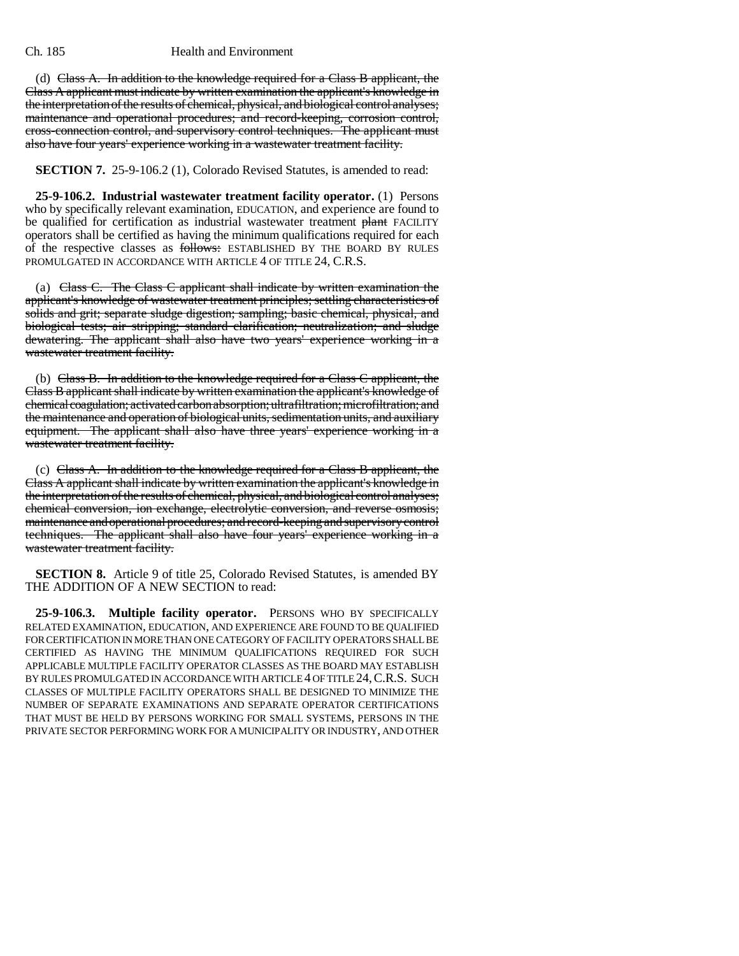(d) Class A. In addition to the knowledge required for a Class B applicant, the Class A applicant must indicate by written examination the applicant's knowledge in the interpretation of the results of chemical, physical, and biological control analyses; maintenance and operational procedures; and record-keeping, corrosion control, cross-connection control, and supervisory control techniques. The applicant must also have four years' experience working in a wastewater treatment facility.

**SECTION 7.** 25-9-106.2 (1), Colorado Revised Statutes, is amended to read:

**25-9-106.2. Industrial wastewater treatment facility operator.** (1) Persons who by specifically relevant examination, EDUCATION, and experience are found to be qualified for certification as industrial wastewater treatment plant FACILITY operators shall be certified as having the minimum qualifications required for each of the respective classes as follows: ESTABLISHED BY THE BOARD BY RULES PROMULGATED IN ACCORDANCE WITH ARTICLE 4 OF TITLE 24, C.R.S.

(a) Class C. The Class C applicant shall indicate by written examination the applicant's knowledge of wastewater treatment principles; settling characteristics of solids and grit; separate sludge digestion; sampling; basic chemical, physical, and biological tests; air stripping; standard clarification; neutralization; and sludge dewatering. The applicant shall also have two years' experience working in a wastewater treatment facility.

(b) Class B. In addition to the knowledge required for a Class C applicant, the Class B applicant shall indicate by written examination the applicant's knowledge of chemical coagulation; activated carbon absorption; ultrafiltration; microfiltration; and the maintenance and operation of biological units, sedimentation units, and auxiliary equipment. The applicant shall also have three years' experience working in a wastewater treatment facility.

(c) Class A. In addition to the knowledge required for a Class B applicant, the Class A applicant shall indicate by written examination the applicant's knowledge in the interpretation of the results of chemical, physical, and biological control analyses; chemical conversion, ion exchange, electrolytic conversion, and reverse osmosis; maintenance and operational procedures; and record-keeping and supervisory control techniques. The applicant shall also have four years' experience working in a wastewater treatment facility.

**SECTION 8.** Article 9 of title 25, Colorado Revised Statutes, is amended BY THE ADDITION OF A NEW SECTION to read:

**25-9-106.3. Multiple facility operator.** PERSONS WHO BY SPECIFICALLY RELATED EXAMINATION, EDUCATION, AND EXPERIENCE ARE FOUND TO BE QUALIFIED FOR CERTIFICATION IN MORE THAN ONE CATEGORY OF FACILITY OPERATORS SHALL BE CERTIFIED AS HAVING THE MINIMUM QUALIFICATIONS REQUIRED FOR SUCH APPLICABLE MULTIPLE FACILITY OPERATOR CLASSES AS THE BOARD MAY ESTABLISH BY RULES PROMULGATED IN ACCORDANCE WITH ARTICLE 4 OF TITLE 24, C.R.S. SUCH CLASSES OF MULTIPLE FACILITY OPERATORS SHALL BE DESIGNED TO MINIMIZE THE NUMBER OF SEPARATE EXAMINATIONS AND SEPARATE OPERATOR CERTIFICATIONS THAT MUST BE HELD BY PERSONS WORKING FOR SMALL SYSTEMS, PERSONS IN THE PRIVATE SECTOR PERFORMING WORK FOR A MUNICIPALITY OR INDUSTRY, AND OTHER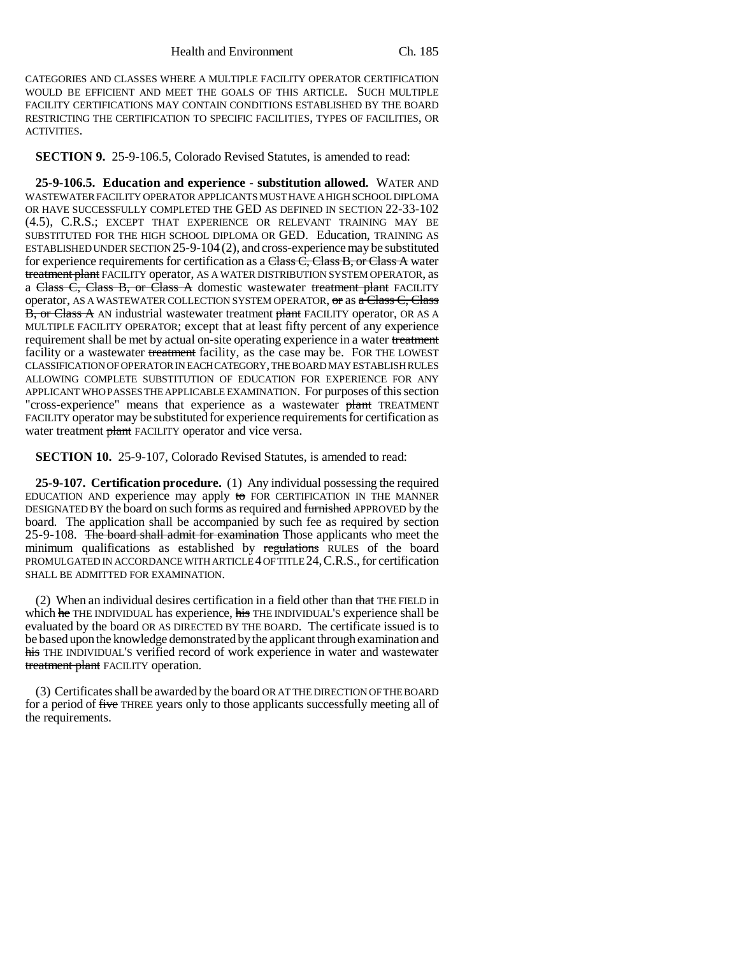CATEGORIES AND CLASSES WHERE A MULTIPLE FACILITY OPERATOR CERTIFICATION WOULD BE EFFICIENT AND MEET THE GOALS OF THIS ARTICLE. SUCH MULTIPLE FACILITY CERTIFICATIONS MAY CONTAIN CONDITIONS ESTABLISHED BY THE BOARD RESTRICTING THE CERTIFICATION TO SPECIFIC FACILITIES, TYPES OF FACILITIES, OR ACTIVITIES.

**SECTION 9.** 25-9-106.5, Colorado Revised Statutes, is amended to read:

**25-9-106.5. Education and experience - substitution allowed.** WATER AND WASTEWATER FACILITY OPERATOR APPLICANTS MUST HAVE A HIGH SCHOOL DIPLOMA OR HAVE SUCCESSFULLY COMPLETED THE GED AS DEFINED IN SECTION 22-33-102 (4.5), C.R.S.; EXCEPT THAT EXPERIENCE OR RELEVANT TRAINING MAY BE SUBSTITUTED FOR THE HIGH SCHOOL DIPLOMA OR GED. Education, TRAINING AS ESTABLISHED UNDER SECTION 25-9-104 (2), and cross-experience may be substituted for experience requirements for certification as a  $Class \overrightarrow{C}$ ,  $Class B$ , or  $Class A$  water treatment plant FACILITY operator, AS A WATER DISTRIBUTION SYSTEM OPERATOR, as a Class  $\overline{C}$ , Class B, or Class A domestic wastewater treatment plant FACILITY operator, AS A WASTEWATER COLLECTION SYSTEM OPERATOR, or as a Class C, Class B, or Class A AN industrial wastewater treatment plant FACILITY operator, OR AS A MULTIPLE FACILITY OPERATOR; except that at least fifty percent of any experience requirement shall be met by actual on-site operating experience in a water treatment facility or a wastewater treatment facility, as the case may be. FOR THE LOWEST CLASSIFICATION OF OPERATOR IN EACH CATEGORY, THE BOARD MAY ESTABLISH RULES ALLOWING COMPLETE SUBSTITUTION OF EDUCATION FOR EXPERIENCE FOR ANY APPLICANT WHO PASSES THE APPLICABLE EXAMINATION. For purposes of this section "cross-experience" means that experience as a wastewater plant TREATMENT FACILITY operator may be substituted for experience requirements for certification as water treatment plant FACILITY operator and vice versa.

**SECTION 10.** 25-9-107, Colorado Revised Statutes, is amended to read:

**25-9-107. Certification procedure.** (1) Any individual possessing the required EDUCATION AND experience may apply to FOR CERTIFICATION IN THE MANNER DESIGNATED BY the board on such forms as required and furnished APPROVED by the board. The application shall be accompanied by such fee as required by section 25-9-108. The board shall admit for examination Those applicants who meet the minimum qualifications as established by regulations RULES of the board PROMULGATED IN ACCORDANCE WITH ARTICLE 4 OF TITLE 24,C.R.S., for certification SHALL BE ADMITTED FOR EXAMINATION.

(2) When an individual desires certification in a field other than that THE FIELD in which he THE INDIVIDUAL has experience, his THE INDIVIDUAL'S experience shall be evaluated by the board OR AS DIRECTED BY THE BOARD. The certificate issued is to be based upon the knowledge demonstrated by the applicant through examination and his THE INDIVIDUAL'S verified record of work experience in water and wastewater treatment plant FACILITY operation.

(3) Certificates shall be awarded by the board OR AT THE DIRECTION OF THE BOARD for a period of five THREE years only to those applicants successfully meeting all of the requirements.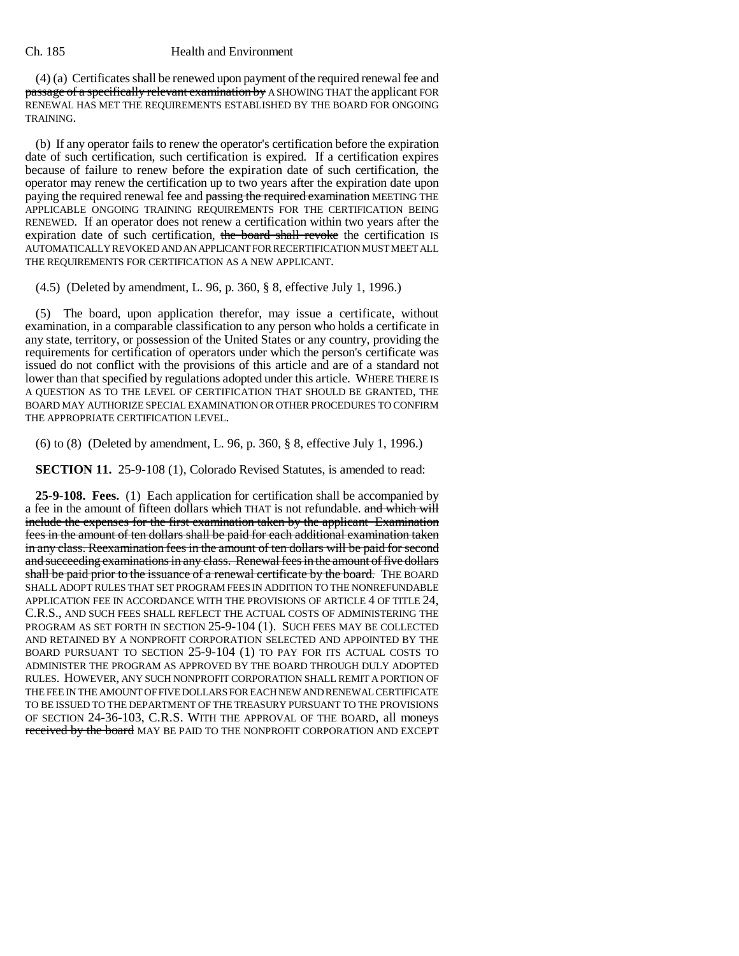(4) (a) Certificates shall be renewed upon payment of the required renewal fee and passage of a specifically relevant examination by A SHOWING THAT the applicant FOR RENEWAL HAS MET THE REQUIREMENTS ESTABLISHED BY THE BOARD FOR ONGOING TRAINING.

(b) If any operator fails to renew the operator's certification before the expiration date of such certification, such certification is expired. If a certification expires because of failure to renew before the expiration date of such certification, the operator may renew the certification up to two years after the expiration date upon paying the required renewal fee and passing the required examination MEETING THE APPLICABLE ONGOING TRAINING REQUIREMENTS FOR THE CERTIFICATION BEING RENEWED. If an operator does not renew a certification within two years after the expiration date of such certification, the board shall revoke the certification IS AUTOMATICALLY REVOKED AND AN APPLICANT FOR RECERTIFICATION MUST MEET ALL THE REQUIREMENTS FOR CERTIFICATION AS A NEW APPLICANT.

(4.5) (Deleted by amendment, L. 96, p. 360, § 8, effective July 1, 1996.)

(5) The board, upon application therefor, may issue a certificate, without examination, in a comparable classification to any person who holds a certificate in any state, territory, or possession of the United States or any country, providing the requirements for certification of operators under which the person's certificate was issued do not conflict with the provisions of this article and are of a standard not lower than that specified by regulations adopted under this article. WHERE THERE IS A QUESTION AS TO THE LEVEL OF CERTIFICATION THAT SHOULD BE GRANTED, THE BOARD MAY AUTHORIZE SPECIAL EXAMINATION OR OTHER PROCEDURES TO CONFIRM THE APPROPRIATE CERTIFICATION LEVEL.

(6) to (8) (Deleted by amendment, L. 96, p. 360, § 8, effective July 1, 1996.)

**SECTION 11.** 25-9-108 (1), Colorado Revised Statutes, is amended to read:

**25-9-108. Fees.** (1) Each application for certification shall be accompanied by a fee in the amount of fifteen dollars which THAT is not refundable. and which will include the expenses for the first examination taken by the applicant Examination fees in the amount of ten dollars shall be paid for each additional examination taken in any class. Reexamination fees in the amount of ten dollars will be paid for second and succeeding examinations in any class. Renewal fees in the amount of five dollars shall be paid prior to the issuance of a renewal certificate by the board. THE BOARD SHALL ADOPT RULES THAT SET PROGRAM FEES IN ADDITION TO THE NONREFUNDABLE APPLICATION FEE IN ACCORDANCE WITH THE PROVISIONS OF ARTICLE 4 OF TITLE 24, C.R.S., AND SUCH FEES SHALL REFLECT THE ACTUAL COSTS OF ADMINISTERING THE PROGRAM AS SET FORTH IN SECTION 25-9-104 (1). SUCH FEES MAY BE COLLECTED AND RETAINED BY A NONPROFIT CORPORATION SELECTED AND APPOINTED BY THE BOARD PURSUANT TO SECTION 25-9-104 (1) TO PAY FOR ITS ACTUAL COSTS TO ADMINISTER THE PROGRAM AS APPROVED BY THE BOARD THROUGH DULY ADOPTED RULES. HOWEVER, ANY SUCH NONPROFIT CORPORATION SHALL REMIT A PORTION OF THE FEE IN THE AMOUNT OF FIVE DOLLARS FOR EACH NEW AND RENEWAL CERTIFICATE TO BE ISSUED TO THE DEPARTMENT OF THE TREASURY PURSUANT TO THE PROVISIONS OF SECTION 24-36-103, C.R.S. WITH THE APPROVAL OF THE BOARD, all moneys received by the board MAY BE PAID TO THE NONPROFIT CORPORATION AND EXCEPT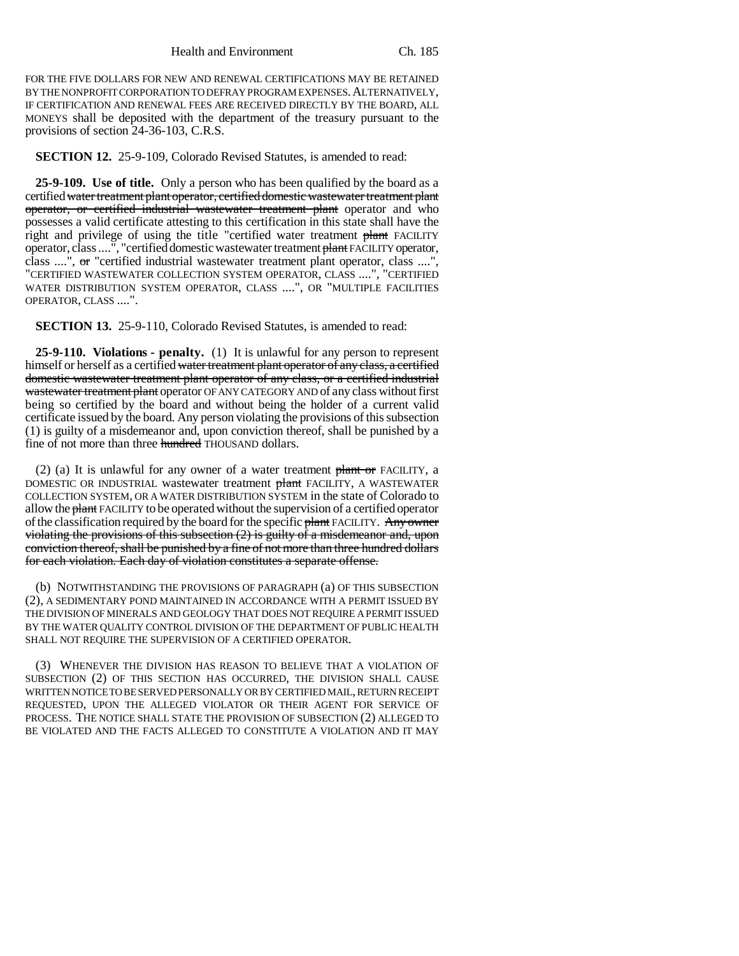FOR THE FIVE DOLLARS FOR NEW AND RENEWAL CERTIFICATIONS MAY BE RETAINED BY THE NONPROFIT CORPORATION TO DEFRAY PROGRAM EXPENSES. ALTERNATIVELY, IF CERTIFICATION AND RENEWAL FEES ARE RECEIVED DIRECTLY BY THE BOARD, ALL MONEYS shall be deposited with the department of the treasury pursuant to the provisions of section 24-36-103, C.R.S.

**SECTION 12.** 25-9-109, Colorado Revised Statutes, is amended to read:

**25-9-109. Use of title.** Only a person who has been qualified by the board as a certified water treatment plant operator, certified domestic wastewater treatment plant operator, or certified industrial wastewater treatment plant operator and who possesses a valid certificate attesting to this certification in this state shall have the right and privilege of using the title "certified water treatment plant FACILITY operator, class ....", "certified domestic wastewater treatment plant FACILITY operator, class ....", or "certified industrial wastewater treatment plant operator, class ....", "CERTIFIED WASTEWATER COLLECTION SYSTEM OPERATOR, CLASS ....", "CERTIFIED WATER DISTRIBUTION SYSTEM OPERATOR, CLASS ....", OR "MULTIPLE FACILITIES OPERATOR, CLASS ....".

**SECTION 13.** 25-9-110, Colorado Revised Statutes, is amended to read:

**25-9-110. Violations - penalty.** (1) It is unlawful for any person to represent himself or herself as a certified water treatment plant operator of any class, a certified domestic wastewater treatment plant operator of any class, or a certified industrial wastewater treatment plant operator OF ANY CATEGORY AND of any class without first being so certified by the board and without being the holder of a current valid certificate issued by the board. Any person violating the provisions of this subsection (1) is guilty of a misdemeanor and, upon conviction thereof, shall be punished by a fine of not more than three hundred THOUSAND dollars.

(2) (a) It is unlawful for any owner of a water treatment  $$ DOMESTIC OR INDUSTRIAL wastewater treatment plant FACILITY, A WASTEWATER COLLECTION SYSTEM, OR A WATER DISTRIBUTION SYSTEM in the state of Colorado to allow the plant FACILITY to be operated without the supervision of a certified operator of the classification required by the board for the specific plant FACILITY. Any owner violating the provisions of this subsection  $(2)$  is guilty of a misdemeanor and, upon conviction thereof, shall be punished by a fine of not more than three hundred dollars for each violation. Each day of violation constitutes a separate offense.

(b) NOTWITHSTANDING THE PROVISIONS OF PARAGRAPH (a) OF THIS SUBSECTION (2), A SEDIMENTARY POND MAINTAINED IN ACCORDANCE WITH A PERMIT ISSUED BY THE DIVISION OF MINERALS AND GEOLOGY THAT DOES NOT REQUIRE A PERMIT ISSUED BY THE WATER QUALITY CONTROL DIVISION OF THE DEPARTMENT OF PUBLIC HEALTH SHALL NOT REQUIRE THE SUPERVISION OF A CERTIFIED OPERATOR.

(3) WHENEVER THE DIVISION HAS REASON TO BELIEVE THAT A VIOLATION OF SUBSECTION (2) OF THIS SECTION HAS OCCURRED, THE DIVISION SHALL CAUSE WRITTEN NOTICE TO BE SERVED PERSONALLY OR BY CERTIFIED MAIL, RETURN RECEIPT REQUESTED, UPON THE ALLEGED VIOLATOR OR THEIR AGENT FOR SERVICE OF PROCESS. THE NOTICE SHALL STATE THE PROVISION OF SUBSECTION (2) ALLEGED TO BE VIOLATED AND THE FACTS ALLEGED TO CONSTITUTE A VIOLATION AND IT MAY